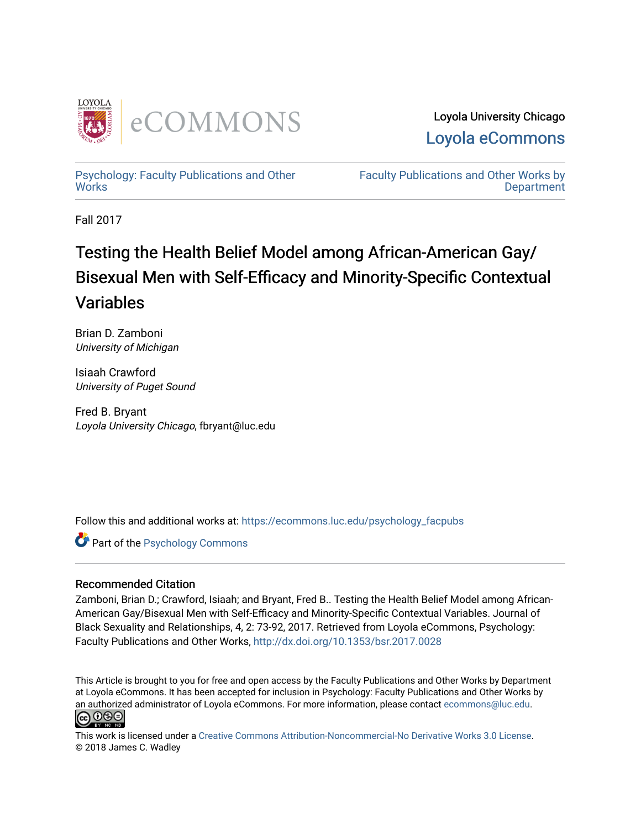

Loyola University Chicago [Loyola eCommons](https://ecommons.luc.edu/) 

[Psychology: Faculty Publications and Other](https://ecommons.luc.edu/psychology_facpubs) **Works** 

[Faculty Publications and Other Works by](https://ecommons.luc.edu/faculty)  **Department** 

Fall 2017

# Testing the Health Belief Model among African-American Gay/ Bisexual Men with Self-Efficacy and Minority-Specific Contextual Variables

Brian D. Zamboni University of Michigan

Isiaah Crawford University of Puget Sound

Fred B. Bryant Loyola University Chicago, fbryant@luc.edu

Follow this and additional works at: [https://ecommons.luc.edu/psychology\\_facpubs](https://ecommons.luc.edu/psychology_facpubs?utm_source=ecommons.luc.edu%2Fpsychology_facpubs%2F96&utm_medium=PDF&utm_campaign=PDFCoverPages)

**Part of the Psychology Commons** 

# Recommended Citation

Zamboni, Brian D.; Crawford, Isiaah; and Bryant, Fred B.. Testing the Health Belief Model among African-American Gay/Bisexual Men with Self-Efficacy and Minority-Specific Contextual Variables. Journal of Black Sexuality and Relationships, 4, 2: 73-92, 2017. Retrieved from Loyola eCommons, Psychology: Faculty Publications and Other Works,<http://dx.doi.org/10.1353/bsr.2017.0028>

This Article is brought to you for free and open access by the Faculty Publications and Other Works by Department at Loyola eCommons. It has been accepted for inclusion in Psychology: Faculty Publications and Other Works by an authorized administrator of Loyola eCommons. For more information, please contact [ecommons@luc.edu](mailto:ecommons@luc.edu).<br> $\boxed{\text{co O} \text{O} \text{O}}$ 



This work is licensed under a [Creative Commons Attribution-Noncommercial-No Derivative Works 3.0 License.](https://creativecommons.org/licenses/by-nc-nd/3.0/) © 2018 James C. Wadley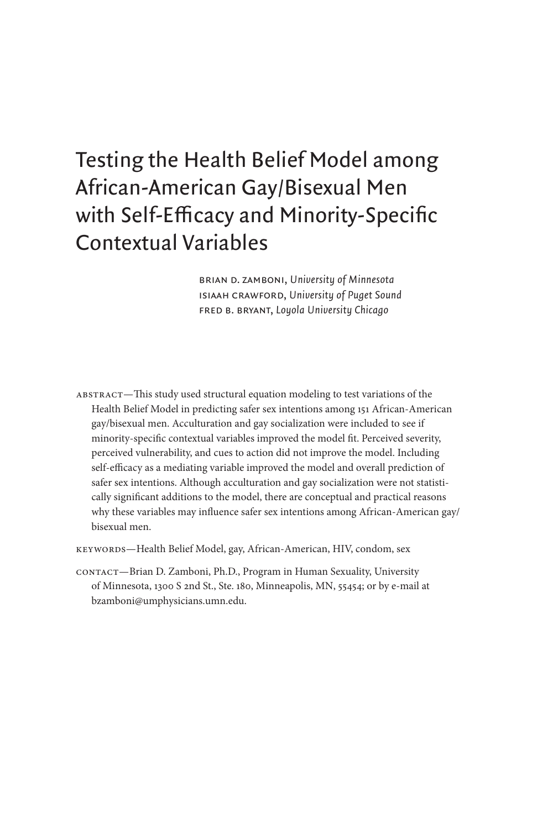# Testing the Health Belief Model among African- American Gay/Bisexual Men with Self-Efficacy and Minority-Specific Contextual Variables

brian d. zamboni, *University of Minnesota* isiaah crawford, *University of Puget Sound* fred b. bryant, *Loyola University Chicago*

ABSTRACT—This study used structural equation modeling to test variations of the Health Belief Model in predicting safer sex intentions among 151 African- American gay/bisexual men. Acculturation and gay socialization were included to see if minority-specific contextual variables improved the model fit. Perceived severity, perceived vulnerability, and cues to action did not improve the model. Including self-efficacy as a mediating variable improved the model and overall prediction of safer sex intentions. Although acculturation and gay socialization were not statistically significant additions to the model, there are conceptual and practical reasons why these variables may influence safer sex intentions among African-American gay/ bisexual men.

keywords— Health Belief Model, gay, African- American, HIV, condom, sex

contact— Brian D. Zamboni, Ph.D., Program in Human Sexuality, University of Minnesota, 1300 S 2nd St., Ste. 180, Minneapolis, MN, 55454; or by e- mail at bzamboni@umphysicians.umn.edu.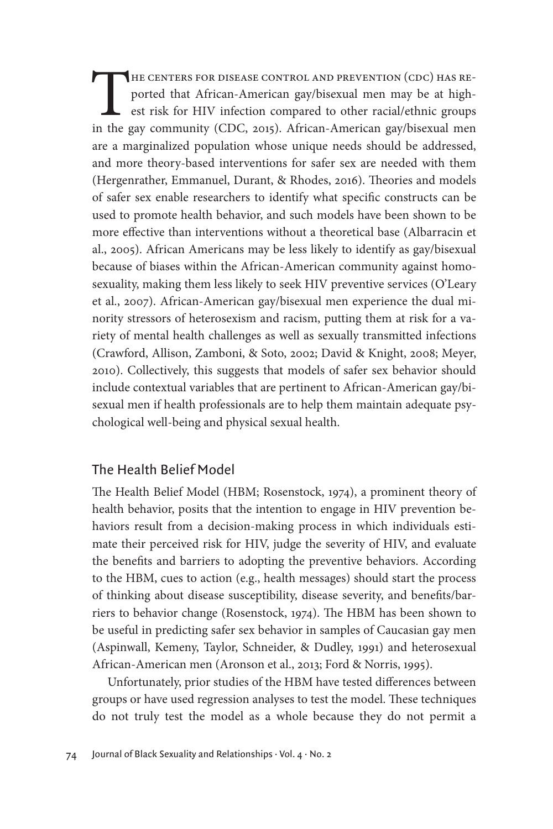THE CENTERS FOR DISEASE CONTROL AND PREVENTION (CDC) HAS REported that African-American gay/bisexual men may be at highest risk for HIV infection compared to other racial/ethnic groups in the gay community (CDC, 2015). Afr ported that African- American gay/bisexual men may be at highest risk for HIV infection compared to other racial/ethnic groups in the gay community (CDC, 2015). African- American gay/bisexual men are a marginalized population whose unique needs should be addressed, and more theory-based interventions for safer sex are needed with them (Hergenrather, Emmanuel, Durant, & Rhodes, 2016). Theories and models of safer sex enable researchers to identify what specific constructs can be used to promote health behavior, and such models have been shown to be more effective than interventions without a theoretical base (Albarracin et al., 2005). African Americans may be less likely to identify as gay/bisexual because of biases within the African- American community against homosexuality, making them less likely to seek HIV preventive services (O'Leary et al., 2007). African- American gay/bisexual men experience the dual minority stressors of heterosexism and racism, putting them at risk for a variety of mental health challenges as well as sexually transmitted infections (Crawford, Allison, Zamboni, & Soto, 2002; David & Knight, 2008; Meyer, 2010). Collectively, this suggests that models of safer sex behavior should include contextual variables that are pertinent to African- American gay/bisexual men if health professionals are to help them maintain adequate psychological well- being and physical sexual health.

# The Health Belief Model

The Health Belief Model (HBM; Rosenstock, 1974), a prominent theory of health behavior, posits that the intention to engage in HIV prevention behaviors result from a decision-making process in which individuals estimate their perceived risk for HIV, judge the severity of HIV, and evaluate the benefits and barriers to adopting the preventive behaviors. According to the HBM, cues to action (e.g., health messages) should start the process of thinking about disease susceptibility, disease severity, and benefits/barriers to behavior change (Rosenstock, 1974). The HBM has been shown to be useful in predicting safer sex behavior in samples of Caucasian gay men (Aspinwall, Kemeny, Taylor, Schneider, & Dudley, 1991) and heterosexual African- American men (Aronson et al., 2013; Ford & Norris, 1995).

Unfortunately, prior studies of the HBM have tested differences between groups or have used regression analyses to test the model. These techniques do not truly test the model as a whole because they do not permit a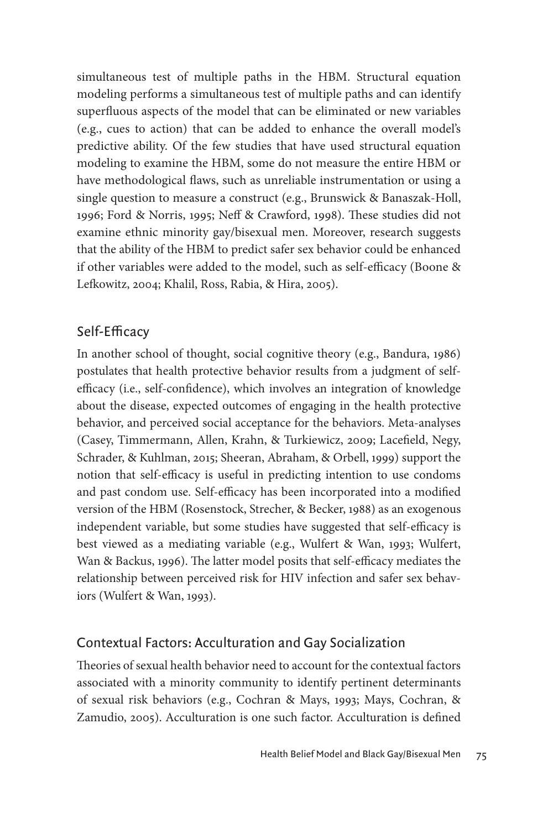simultaneous test of multiple paths in the HBM. Structural equation modeling performs a simultaneous test of multiple paths and can identify superfluous aspects of the model that can be eliminated or new variables (e.g., cues to action) that can be added to enhance the overall model's predictive ability. Of the few studies that have used structural equation modeling to examine the HBM, some do not measure the entire HBM or have methodological flaws, such as unreliable instrumentation or using a single question to measure a construct (e.g., Brunswick & Banaszak- Holl, 1996; Ford & Norris, 1995; Neff & Crawford, 1998). These studies did not examine ethnic minority gay/bisexual men. Moreover, research suggests that the ability of the HBM to predict safer sex behavior could be enhanced if other variables were added to the model, such as self-efficacy (Boone  $\&$ Lefkowitz, 2004; Khalil, Ross, Rabia, & Hira, 2005).

# Self-Efficacy

In another school of thought, social cognitive theory (e.g., Bandura, 1986) postulates that health protective behavior results from a judgment of selfefficacy (i.e., self-confidence), which involves an integration of knowledge about the disease, expected outcomes of engaging in the health protective behavior, and perceived social acceptance for the behaviors. Meta-analyses (Casey, Timmermann, Allen, Krahn, & Turkiewicz, 2009; Lacefield, Negy, Schrader, & Kuhlman, 2015; Sheeran, Abraham, & Orbell, 1999) support the notion that self-efficacy is useful in predicting intention to use condoms and past condom use. Self-efficacy has been incorporated into a modified version of the HBM (Rosenstock, Strecher, & Becker, 1988) as an exogenous independent variable, but some studies have suggested that self-efficacy is best viewed as a mediating variable (e.g., Wulfert & Wan, 1993; Wulfert, Wan & Backus, 1996). The latter model posits that self-efficacy mediates the relationship between perceived risk for HIV infection and safer sex behaviors (Wulfert & Wan, 1993).

# Contextual Factors: Acculturation and Gay Socialization

Theories of sexual health behavior need to account for the contextual factors associated with a minority community to identify pertinent determinants of sexual risk behaviors (e.g., Cochran & Mays, 1993; Mays, Cochran, & Zamudio, 2005). Acculturation is one such factor. Acculturation is defined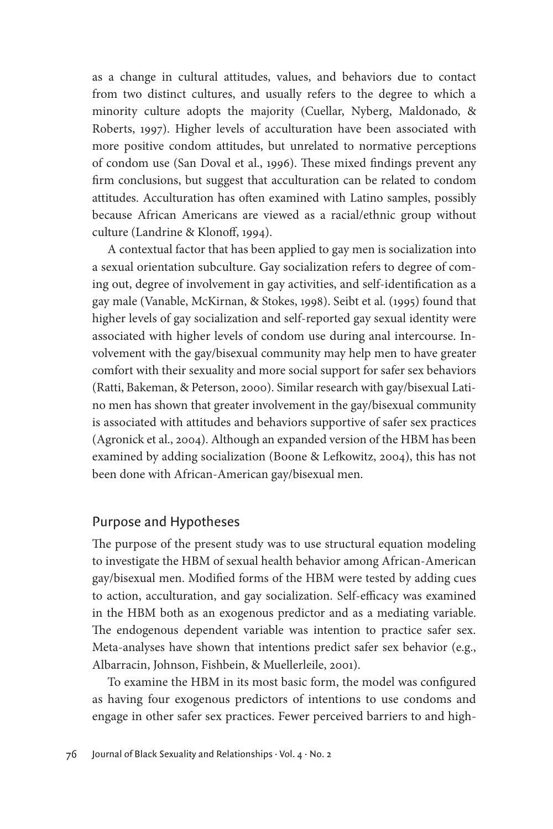as a change in cultural attitudes, values, and behaviors due to contact from two distinct cultures, and usually refers to the degree to which a minority culture adopts the majority (Cuellar, Nyberg, Maldonado, & Roberts, 1997). Higher levels of acculturation have been associated with more positive condom attitudes, but unrelated to normative perceptions of condom use (San Doval et al., 1996). These mixed findings prevent any firm conclusions, but suggest that acculturation can be related to condom attitudes. Acculturation has often examined with Latino samples, possibly because African Americans are viewed as a racial/ethnic group without culture (Landrine & Klonoff, 1994).

A contextual factor that has been applied to gay men is socialization into a sexual orientation subculture. Gay socialization refers to degree of coming out, degree of involvement in gay activities, and self-identification as a gay male (Vanable, McKirnan, & Stokes, 1998). Seibt et al. (1995) found that higher levels of gay socialization and self- reported gay sexual identity were associated with higher levels of condom use during anal intercourse. Involvement with the gay/bisexual community may help men to have greater comfort with their sexuality and more social support for safer sex behaviors (Ratti, Bakeman, & Peterson, 2000). Similar research with gay/bisexual Latino men has shown that greater involvement in the gay/bisexual community is associated with attitudes and behaviors supportive of safer sex practices (Agronick et al., 2004). Although an expanded version of the HBM has been examined by adding socialization (Boone & Lefkowitz, 2004), this has not been done with African- American gay/bisexual men.

## Purpose and Hypotheses

The purpose of the present study was to use structural equation modeling to investigate the HBM of sexual health behavior among African- American gay/bisexual men. Modified forms of the HBM were tested by adding cues to action, acculturation, and gay socialization. Self-efficacy was examined in the HBM both as an exogenous predictor and as a mediating variable. The endogenous dependent variable was intention to practice safer sex. Meta- analyses have shown that intentions predict safer sex behavior (e.g., Albarracin, Johnson, Fishbein, & Muellerleile, 2001).

To examine the HBM in its most basic form, the model was configured as having four exogenous predictors of intentions to use condoms and engage in other safer sex practices. Fewer perceived barriers to and high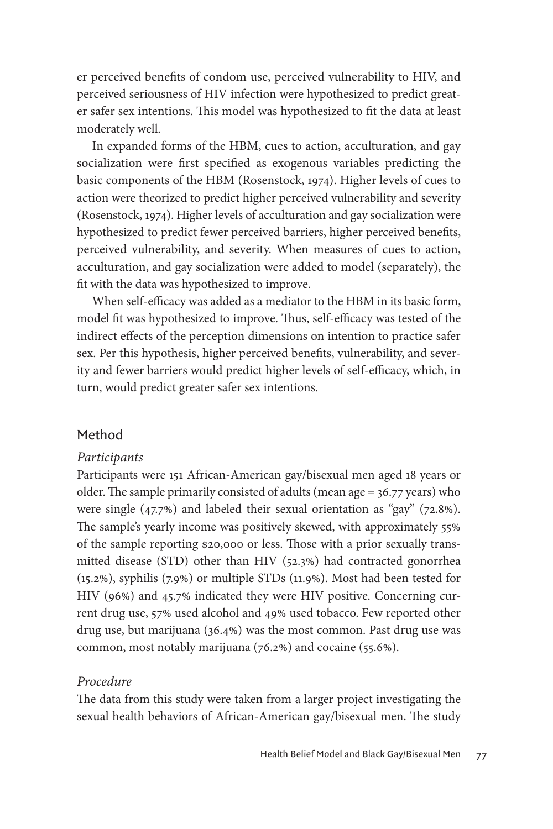er perceived benefits of condom use, perceived vulnerability to HIV, and perceived seriousness of HIV infection were hypothesized to predict greater safer sex intentions. This model was hypothesized to fit the data at least moderately well.

In expanded forms of the HBM, cues to action, acculturation, and gay socialization were first specified as exogenous variables predicting the basic components of the HBM (Rosenstock, 1974). Higher levels of cues to action were theorized to predict higher perceived vulnerability and severity (Rosenstock, 1974). Higher levels of acculturation and gay socialization were hypothesized to predict fewer perceived barriers, higher perceived benefits, perceived vulnerability, and severity. When measures of cues to action, acculturation, and gay socialization were added to model (separately), the fit with the data was hypothesized to improve.

When self-efficacy was added as a mediator to the HBM in its basic form, model fit was hypothesized to improve. Thus, self-efficacy was tested of the indirect effects of the perception dimensions on intention to practice safer sex. Per this hypothesis, higher perceived benefits, vulnerability, and severity and fewer barriers would predict higher levels of self-efficacy, which, in turn, would predict greater safer sex intentions.

## Method

## *Participants*

Participants were 151 African- American gay/bisexual men aged 18 years or older. The sample primarily consisted of adults (mean age =  $36.77$  years) who were single (47.7%) and labeled their sexual orientation as "gay" (72.8%). The sample's yearly income was positively skewed, with approximately 55% of the sample reporting \$20,000 or less. Those with a prior sexually transmitted disease (STD) other than HIV (52.3%) had contracted gonorrhea (15.2%), syphilis (7.9%) or multiple STDs (11.9%). Most had been tested for HIV (96%) and 45.7% indicated they were HIV positive. Concerning current drug use, 57% used alcohol and 49% used tobacco. Few reported other drug use, but marijuana (36.4%) was the most common. Past drug use was common, most notably marijuana (76.2%) and cocaine (55.6%).

## *Procedure*

The data from this study were taken from a larger project investigating the sexual health behaviors of African-American gay/bisexual men. The study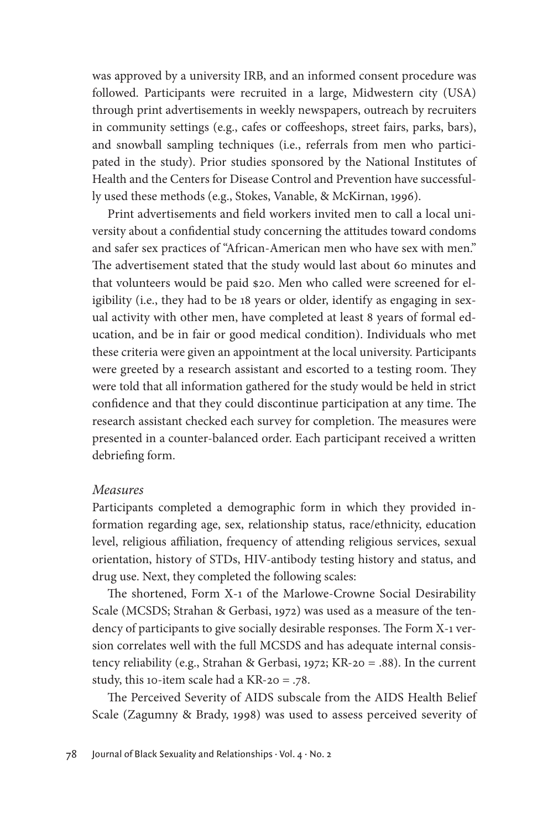was approved by a university IRB, and an informed consent procedure was followed. Participants were recruited in a large, Midwestern city (USA) through print advertisements in weekly newspapers, outreach by recruiters in community settings (e.g., cafes or coffeeshops, street fairs, parks, bars), and snowball sampling techniques (i.e., referrals from men who participated in the study). Prior studies sponsored by the National Institutes of Health and the Centers for Disease Control and Prevention have successfully used these methods (e.g., Stokes, Vanable, & McKirnan, 1996).

Print advertisements and field workers invited men to call a local university about a confidential study concerning the attitudes toward condoms and safer sex practices of "African- American men who have sex with men." The advertisement stated that the study would last about 60 minutes and that volunteers would be paid \$20. Men who called were screened for eligibility (i.e., they had to be 18 years or older, identify as engaging in sexual activity with other men, have completed at least 8 years of formal education, and be in fair or good medical condition). Individuals who met these criteria were given an appointment at the local university. Participants were greeted by a research assistant and escorted to a testing room. They were told that all information gathered for the study would be held in strict confidence and that they could discontinue participation at any time. The research assistant checked each survey for completion. The measures were presented in a counter-balanced order. Each participant received a written debriefing form.

#### *Measures*

Participants completed a demographic form in which they provided information regarding age, sex, relationship status, race/ethnicity, education level, religious affiliation, frequency of attending religious services, sexual orientation, history of STDs, HIV- antibody testing history and status, and drug use. Next, they completed the following scales:

The shortened, Form X-1 of the Marlowe-Crowne Social Desirability Scale (MCSDS; Strahan & Gerbasi, 1972) was used as a measure of the tendency of participants to give socially desirable responses. The Form X-1 version correlates well with the full MCSDS and has adequate internal consistency reliability (e.g., Strahan & Gerbasi, 1972; KR-20 = .88). In the current study, this 10-item scale had a  $KR$ -20 = .78.

The Perceived Severity of AIDS subscale from the AIDS Health Belief Scale (Zagumny & Brady, 1998) was used to assess perceived severity of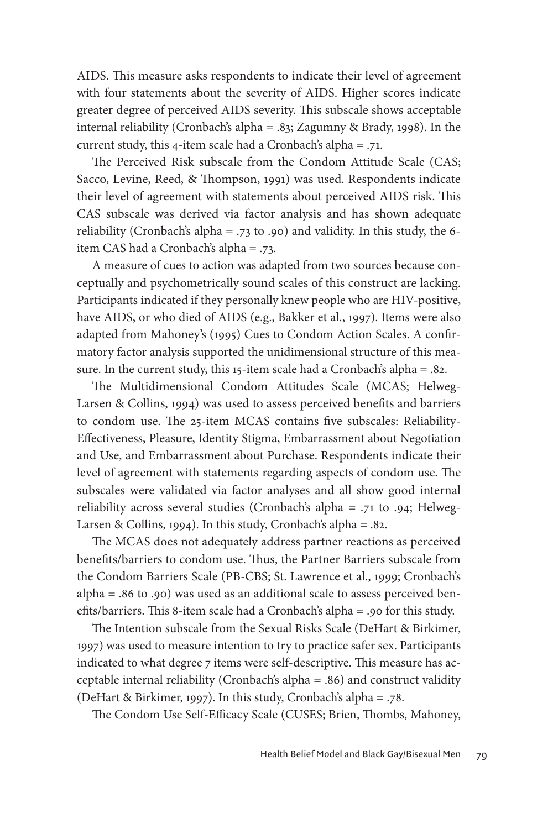AIDS. This measure asks respondents to indicate their level of agreement with four statements about the severity of AIDS. Higher scores indicate greater degree of perceived AIDS severity. This subscale shows acceptable internal reliability (Cronbach's alpha = .83; Zagumny & Brady, 1998). In the current study, this 4-item scale had a Cronbach's alpha  $= .71$ .

The Perceived Risk subscale from the Condom Attitude Scale (CAS; Sacco, Levine, Reed, & Thompson, 1991) was used. Respondents indicate their level of agreement with statements about perceived AIDS risk. This CAS subscale was derived via factor analysis and has shown adequate reliability (Cronbach's alpha = .73 to .90) and validity. In this study, the 6item CAS had a Cronbach's alpha = .73.

A measure of cues to action was adapted from two sources because conceptually and psychometrically sound scales of this construct are lacking. Participants indicated if they personally knew people who are HIV-positive, have AIDS, or who died of AIDS (e.g., Bakker et al., 1997). Items were also adapted from Mahoney's (1995) Cues to Condom Action Scales. A confirmatory factor analysis supported the unidimensional structure of this measure. In the current study, this 15- item scale had a Cronbach's alpha = .82.

The Multidimensional Condom Attitudes Scale (MCAS; Helweg-Larsen & Collins, 1994) was used to assess perceived benefits and barriers to condom use. The 25-item MCAS contains five subscales: Reliability-Effectiveness, Pleasure, Identity Stigma, Embarrassment about Negotiation and Use, and Embarrassment about Purchase. Respondents indicate their level of agreement with statements regarding aspects of condom use. The subscales were validated via factor analyses and all show good internal reliability across several studies (Cronbach's alpha = .71 to .94; Helweg-Larsen & Collins, 1994). In this study, Cronbach's alpha =  $.82$ .

The MCAS does not adequately address partner reactions as perceived benefits/barriers to condom use. Thus, the Partner Barriers subscale from the Condom Barriers Scale (PB- CBS; St. Lawrence et al., 1999; Cronbach's alpha = .86 to .90) was used as an additional scale to assess perceived benefits/barriers. This 8-item scale had a Cronbach's alpha = .90 for this study.

The Intention subscale from the Sexual Risks Scale (DeHart & Birkimer, 1997) was used to measure intention to try to practice safer sex. Participants indicated to what degree 7 items were self-descriptive. This measure has acceptable internal reliability (Cronbach's alpha = .86) and construct validity (DeHart & Birkimer, 1997). In this study, Cronbach's alpha = .78.

The Condom Use Self-Efficacy Scale (CUSES; Brien, Thombs, Mahoney,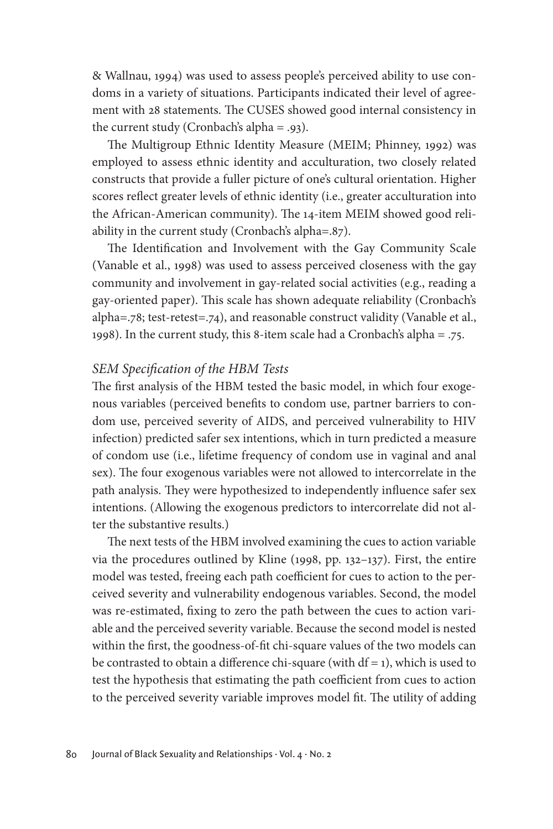& Wallnau, 1994) was used to assess people's perceived ability to use condoms in a variety of situations. Participants indicated their level of agreement with 28 statements. The CUSES showed good internal consistency in the current study (Cronbach's alpha = .93).

The Multigroup Ethnic Identity Measure (MEIM; Phinney, 1992) was employed to assess ethnic identity and acculturation, two closely related constructs that provide a fuller picture of one's cultural orientation. Higher scores reflect greater levels of ethnic identity (i.e., greater acculturation into the African-American community). The 14-item MEIM showed good reliability in the current study (Cronbach's alpha=.87).

The Identification and Involvement with the Gay Community Scale (Vanable et al., 1998) was used to assess perceived closeness with the gay community and involvement in gay- related social activities (e.g., reading a gay-oriented paper). This scale has shown adequate reliability (Cronbach's alpha=.78; test-retest=.74), and reasonable construct validity (Vanable et al., 1998). In the current study, this 8- item scale had a Cronbach's alpha = .75.

#### *SEM Speci*f *cation of the HBM Tests*

The first analysis of the HBM tested the basic model, in which four exogenous variables (perceived benefits to condom use, partner barriers to condom use, perceived severity of AIDS, and perceived vulnerability to HIV infection) predicted safer sex intentions, which in turn predicted a measure of condom use (i.e., lifetime frequency of condom use in vaginal and anal sex). The four exogenous variables were not allowed to intercorrelate in the path analysis. They were hypothesized to independently influence safer sex intentions. (Allowing the exogenous predictors to intercorrelate did not alter the substantive results.)

The next tests of the HBM involved examining the cues to action variable via the procedures outlined by Kline (1998, pp. 132-137). First, the entire model was tested, freeing each path coefficient for cues to action to the perceived severity and vulnerability endogenous variables. Second, the model was re-estimated, fixing to zero the path between the cues to action variable and the perceived severity variable. Because the second model is nested within the first, the goodness-of-fit chi-square values of the two models can be contrasted to obtain a difference chi-square (with  $df = 1$ ), which is used to test the hypothesis that estimating the path coefficient from cues to action to the perceived severity variable improves model fit. The utility of adding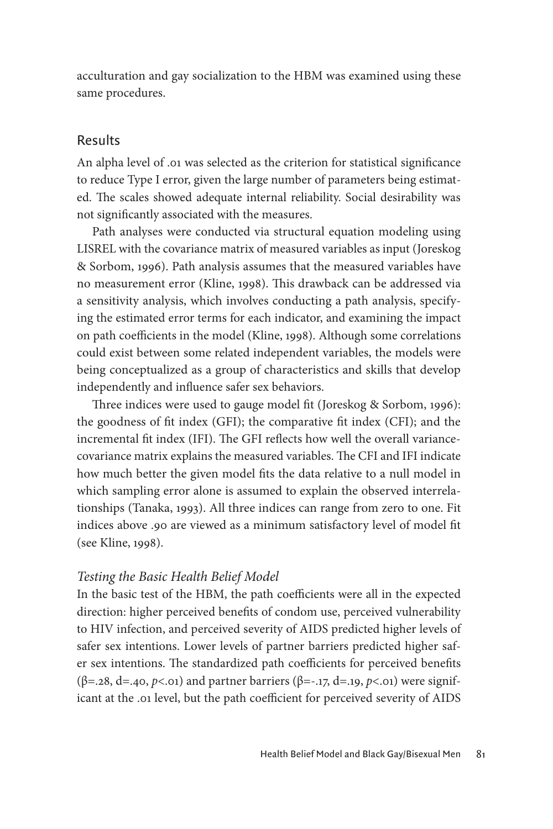acculturation and gay socialization to the HBM was examined using these same procedures.

## Results

An alpha level of .01 was selected as the criterion for statistical significance to reduce Type I error, given the large number of parameters being estimated. The scales showed adequate internal reliability. Social desirability was not significantly associated with the measures.

Path analyses were conducted via structural equation modeling using LISREL with the covariance matrix of measured variables as input (Joreskog & Sorbom, 1996). Path analysis assumes that the measured variables have no measurement error (Kline, 1998). This drawback can be addressed via a sensitivity analysis, which involves conducting a path analysis, specifying the estimated error terms for each indicator, and examining the impact on path coefficients in the model (Kline, 1998). Although some correlations could exist between some related independent variables, the models were being conceptualized as a group of characteristics and skills that develop independently and influence safer sex behaviors.

Three indices were used to gauge model fit (Joreskog & Sorbom, 1996): the goodness of fit index (GFI); the comparative fit index (CFI); and the incremental fit index (IFI). The GFI reflects how well the overall variancecovariance matrix explains the measured variables. The CFI and IFI indicate how much better the given model fits the data relative to a null model in which sampling error alone is assumed to explain the observed interrelationships (Tanaka, 1993). All three indices can range from zero to one. Fit indices above .90 are viewed as a minimum satisfactory level of model fit (see Kline, 1998).

## *Testing the Basic Health Belief Model*

In the basic test of the HBM, the path coefficients were all in the expected direction: higher perceived benefits of condom use, perceived vulnerability to HIV infection, and perceived severity of AIDS predicted higher levels of safer sex intentions. Lower levels of partner barriers predicted higher safer sex intentions. The standardized path coefficients for perceived benefits (β=.28, d=.40, *p*<.01) and partner barriers (β=- .17, d=.19, *p*<.01) were significant at the .01 level, but the path coefficient for perceived severity of AIDS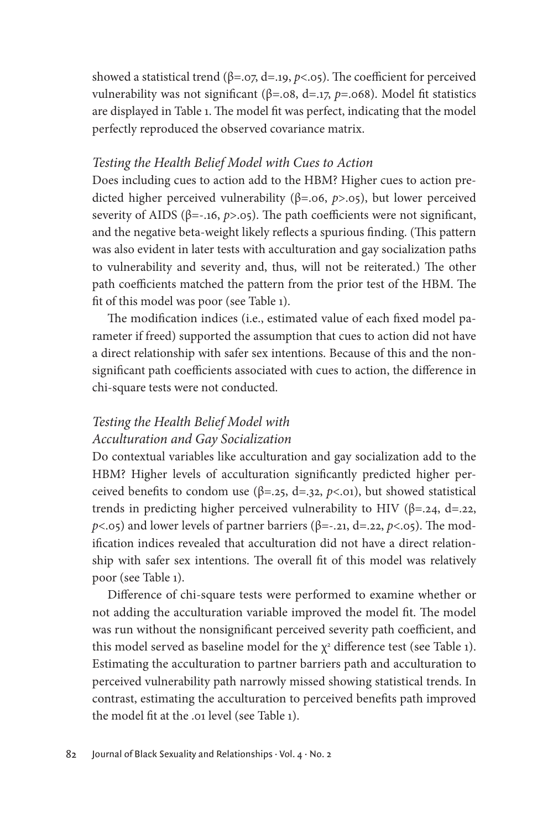showed a statistical trend ( $\beta$ =.07, d=.19,  $p$ <.05). The coefficient for perceived vulnerability was not significant (β=.08, d=.17,  $p=$ .068). Model fit statistics are displayed in Table 1. The model fit was perfect, indicating that the model perfectly reproduced the observed covariance matrix.

### *Testing the Health Belief Model with Cues to Action*

Does including cues to action add to the HBM? Higher cues to action predicted higher perceived vulnerability (β=.06, *p*>.05), but lower perceived severity of AIDS ( $\beta$ =-.16,  $p$ >.05). The path coefficients were not significant, and the negative beta-weight likely reflects a spurious finding. (This pattern was also evident in later tests with acculturation and gay socialization paths to vulnerability and severity and, thus, will not be reiterated.) The other path coefficients matched the pattern from the prior test of the HBM. The fit of this model was poor (see Table 1).

The modification indices (i.e., estimated value of each fixed model parameter if freed) supported the assumption that cues to action did not have a direct relationship with safer sex intentions. Because of this and the nonsignificant path coefficients associated with cues to action, the difference in chi- square tests were not conducted.

# *Testing the Health Belief Model with Acculturation and Gay Socialization*

Do contextual variables like acculturation and gay socialization add to the HBM? Higher levels of acculturation significantly predicted higher perceived benefits to condom use ( $\beta$ =.25, d=.32,  $p$ <.01), but showed statistical trends in predicting higher perceived vulnerability to HIV ( $\beta$ =.24, d=.22,  $p$ <.05) and lower levels of partner barriers ( $\beta$ =-.21, d=.22,  $p$ <.05). The modification indices revealed that acculturation did not have a direct relationship with safer sex intentions. The overall fit of this model was relatively poor (see Table 1).

Difference of chi-square tests were performed to examine whether or not adding the acculturation variable improved the model fit. The model was run without the nonsignificant perceived severity path coefficient, and this model served as baseline model for the  $\chi^2$  difference test (see Table 1). Estimating the acculturation to partner barriers path and acculturation to perceived vulnerability path narrowly missed showing statistical trends. In contrast, estimating the acculturation to perceived benefits path improved the model fit at the .01 level (see Table 1).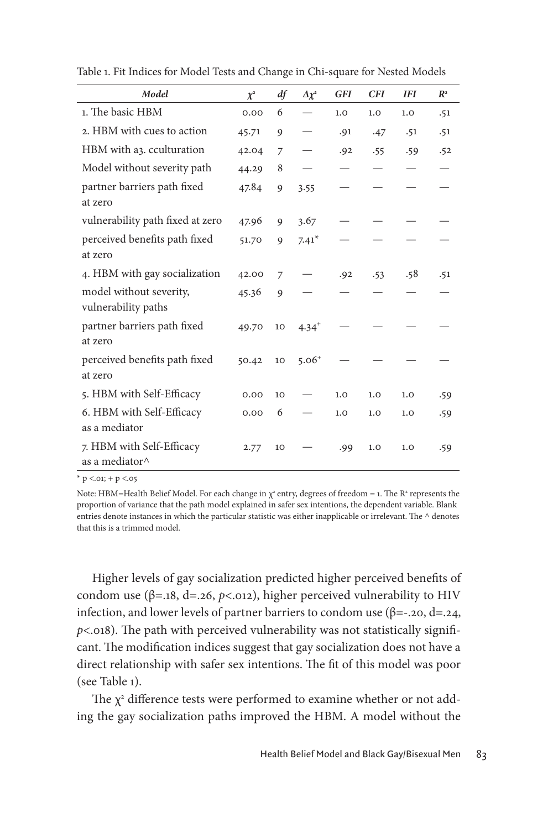| Model                                          | $\chi^{\scriptscriptstyle 2}$ | $\mathcal{A}$ f | $\varDelta \chi^2$  | <b>GFI</b> | <b>CFI</b> | IFI | $R^2$ |
|------------------------------------------------|-------------------------------|-----------------|---------------------|------------|------------|-----|-------|
| 1. The basic HBM                               | 0.00                          | 6               |                     | 1.0        | 1.0        | 1.0 | .51   |
| 2. HBM with cues to action                     | 45.71                         | 9               |                     | .91        | .47        | .51 | .51   |
| HBM with a3. cculturation                      | 42.04                         | $\overline{7}$  |                     | .92        | .55        | .59 | .52   |
| Model without severity path                    | 44.29                         | 8               |                     |            |            |     |       |
| partner barriers path fixed<br>at zero         | 47.84                         | $\mathbf{Q}$    | 3.55                |            |            |     |       |
| vulnerability path fixed at zero               | 47.96                         | $\mathbf Q$     | 3.67                |            |            |     |       |
| perceived benefits path fixed<br>at zero       | 51.70                         | $\mathbf Q$     | $7.41*$             |            |            |     |       |
| 4. HBM with gay socialization                  | 42.00                         | 7               |                     | .92        | .53        | .58 | .51   |
| model without severity,<br>vulnerability paths | 45.36                         | 9               |                     |            |            |     |       |
| partner barriers path fixed<br>at zero         | 49.70                         | 10              | $4.34$ <sup>+</sup> |            |            |     |       |
| perceived benefits path fixed<br>at zero       | 50.42                         | 10              | $5.06+$             |            |            |     |       |
| 5. HBM with Self-Efficacy                      | 0.00                          | 10              |                     | 1.0        | 1.0        | 1.0 | .59   |
| 6. HBM with Self-Efficacy<br>as a mediator     | 0.00                          | 6               |                     | 1.0        | 1.0        | 1.0 | .59   |
| 7. HBM with Self-Efficacy<br>as a mediator^    | 2.77                          | 10              |                     | .99        | 1.0        | 1.0 | .59   |

Table 1. Fit Indices for Model Tests and Change in Chi- square for Nested Models

 $*$  p <.01; + p <.05

Note: HBM=Health Belief Model. For each change in  $\chi^2$  entry, degrees of freedom = 1. The R<sup>2</sup> represents the proportion of variance that the path model explained in safer sex intentions, the dependent variable. Blank entries denote instances in which the particular statistic was either inapplicable or irrelevant. The  $\wedge$  denotes that this is a trimmed model.

Higher levels of gay socialization predicted higher perceived benefits of condom use ( $\beta$ =.18, d=.26,  $p$ <.012), higher perceived vulnerability to HIV infection, and lower levels of partner barriers to condom use ( $\beta$ =-.20, d=.24,  $p$ <.018). The path with perceived vulnerability was not statistically significant. The modification indices suggest that gay socialization does not have a direct relationship with safer sex intentions. The fit of this model was poor (see Table 1).

The  $\chi^2$  difference tests were performed to examine whether or not adding the gay socialization paths improved the HBM. A model without the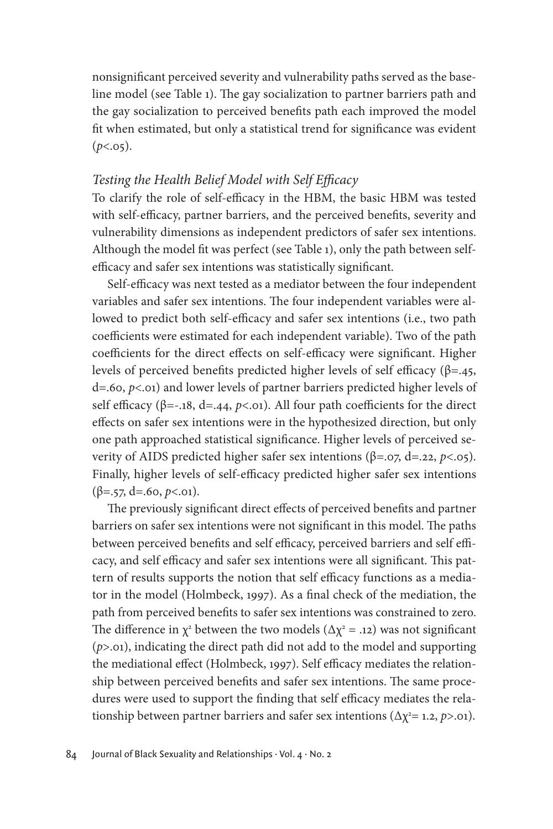nonsignificant perceived severity and vulnerability paths served as the baseline model (see Table 1). The gay socialization to partner barriers path and the gay socialization to perceived benefits path each improved the model fit when estimated, but only a statistical trend for significance was evident  $(p< .05)$ .

## **Testing the Health Belief Model with Self Efficacy**

To clarify the role of self-efficacy in the HBM, the basic HBM was tested with self-efficacy, partner barriers, and the perceived benefits, severity and vulnerability dimensions as independent predictors of safer sex intentions. Although the model fit was perfect (see Table 1), only the path between selfefficacy and safer sex intentions was statistically significant.

Self-efficacy was next tested as a mediator between the four independent variables and safer sex intentions. The four independent variables were allowed to predict both self-efficacy and safer sex intentions (i.e., two path coefficients were estimated for each independent variable). Two of the path coefficients for the direct effects on self-efficacy were significant. Higher levels of perceived benefits predicted higher levels of self efficacy ( $\beta$ =.45, d=.60, *p*<.01) and lower levels of partner barriers predicted higher levels of self efficacy ( $\beta$ =-.18, d=.44,  $p$ <.01). All four path coefficients for the direct effects on safer sex intentions were in the hypothesized direction, but only one path approached statistical significance. Higher levels of perceived severity of AIDS predicted higher safer sex intentions (β=.07, d=.22, *p*<.05). Finally, higher levels of self-efficacy predicted higher safer sex intentions (β=.57, d=.60, *p*<.01).

The previously significant direct effects of perceived benefits and partner barriers on safer sex intentions were not significant in this model. The paths between perceived benefits and self efficacy, perceived barriers and self efficacy, and self efficacy and safer sex intentions were all significant. This pattern of results supports the notion that self efficacy functions as a mediator in the model (Holmbeck, 1997). As a final check of the mediation, the path from perceived benefits to safer sex intentions was constrained to zero. The difference in  $\chi^2$  between the two models ( $\Delta \chi^2 = .12$ ) was not significant (*p*>.01), indicating the direct path did not add to the model and supporting the mediational effect (Holmbeck, 1997). Self efficacy mediates the relationship between perceived benefits and safer sex intentions. The same procedures were used to support the finding that self efficacy mediates the relationship between partner barriers and safer sex intentions ( $\Delta \chi^2$ = 1.2, *p*>.01).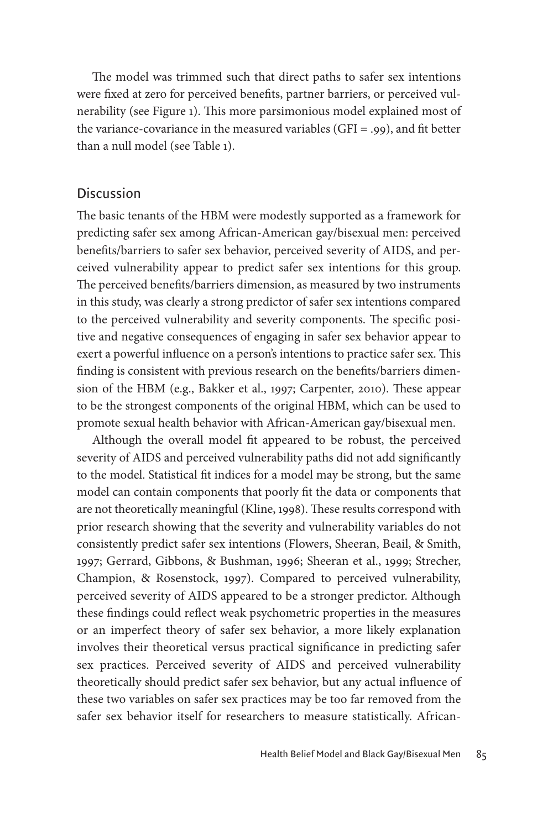The model was trimmed such that direct paths to safer sex intentions were fixed at zero for perceived benefits, partner barriers, or perceived vulnerability (see Figure 1). This more parsimonious model explained most of the variance-covariance in the measured variables  $(GFI = .99)$ , and fit better than a null model (see Table 1).

# Discussion

The basic tenants of the HBM were modestly supported as a framework for predicting safer sex among African- American gay/bisexual men: perceived benefits/barriers to safer sex behavior, perceived severity of AIDS, and perceived vulnerability appear to predict safer sex intentions for this group. The perceived benefits/barriers dimension, as measured by two instruments in this study, was clearly a strong predictor of safer sex intentions compared to the perceived vulnerability and severity components. The specific positive and negative consequences of engaging in safer sex behavior appear to exert a powerful influence on a person's intentions to practice safer sex. This finding is consistent with previous research on the benefits/barriers dimension of the HBM (e.g., Bakker et al., 1997; Carpenter, 2010). These appear to be the strongest components of the original HBM, which can be used to promote sexual health behavior with African- American gay/bisexual men.

Although the overall model fit appeared to be robust, the perceived severity of AIDS and perceived vulnerability paths did not add significantly to the model. Statistical fit indices for a model may be strong, but the same model can contain components that poorly fit the data or components that are not theoretically meaningful (Kline, 1998). These results correspond with prior research showing that the severity and vulnerability variables do not consistently predict safer sex intentions (Flowers, Sheeran, Beail, & Smith, 1997; Gerrard, Gibbons, & Bushman, 1996; Sheeran et al., 1999; Strecher, Champion, & Rosenstock, 1997). Compared to perceived vulnerability, perceived severity of AIDS appeared to be a stronger predictor. Although these findings could reflect weak psychometric properties in the measures or an imperfect theory of safer sex behavior, a more likely explanation involves their theoretical versus practical significance in predicting safer sex practices. Perceived severity of AIDS and perceived vulnerability theoretically should predict safer sex behavior, but any actual influence of these two variables on safer sex practices may be too far removed from the safer sex behavior itself for researchers to measure statistically. African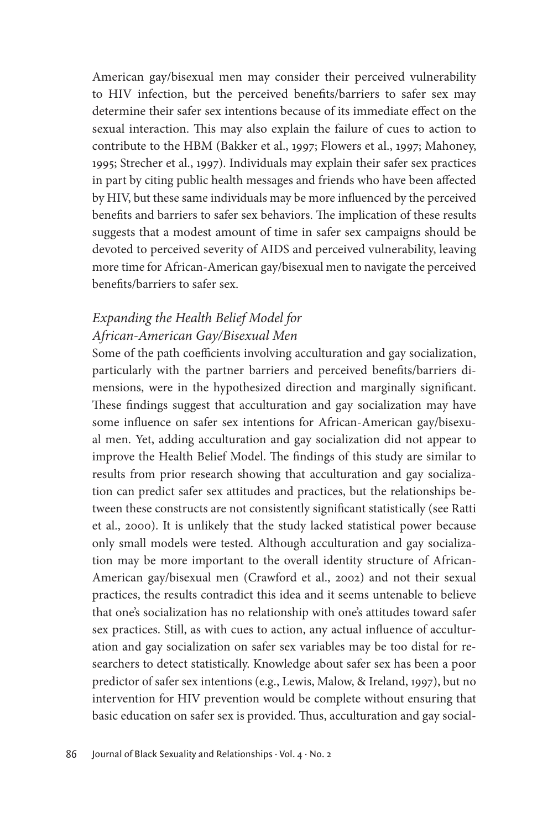American gay/bisexual men may consider their perceived vulnerability to HIV infection, but the perceived benefits/barriers to safer sex may determine their safer sex intentions because of its immediate effect on the sexual interaction. This may also explain the failure of cues to action to contribute to the HBM (Bakker et al., 1997; Flowers et al., 1997; Mahoney, 1995; Strecher et al., 1997). Individuals may explain their safer sex practices in part by citing public health messages and friends who have been affected by HIV, but these same individuals may be more influenced by the perceived benefits and barriers to safer sex behaviors. The implication of these results suggests that a modest amount of time in safer sex campaigns should be devoted to perceived severity of AIDS and perceived vulnerability, leaving more time for African- American gay/bisexual men to navigate the perceived benefits/barriers to safer sex.

# *Expanding the Health Belief Model for African- American Gay/Bisexual Men*

Some of the path coefficients involving acculturation and gay socialization, particularly with the partner barriers and perceived benefits/barriers dimensions, were in the hypothesized direction and marginally significant. These findings suggest that acculturation and gay socialization may have some influence on safer sex intentions for African-American gay/bisexual men. Yet, adding acculturation and gay socialization did not appear to improve the Health Belief Model. The findings of this study are similar to results from prior research showing that acculturation and gay socialization can predict safer sex attitudes and practices, but the relationships between these constructs are not consistently significant statistically (see Ratti et al., 2000). It is unlikely that the study lacked statistical power because only small models were tested. Although acculturation and gay socialization may be more important to the overall identity structure of African-American gay/bisexual men (Crawford et al., 2002) and not their sexual practices, the results contradict this idea and it seems untenable to believe that one's socialization has no relationship with one's attitudes toward safer sex practices. Still, as with cues to action, any actual influence of acculturation and gay socialization on safer sex variables may be too distal for researchers to detect statistically. Knowledge about safer sex has been a poor predictor of safer sex intentions (e.g., Lewis, Malow, & Ireland, 1997), but no intervention for HIV prevention would be complete without ensuring that basic education on safer sex is provided. Thus, acculturation and gay social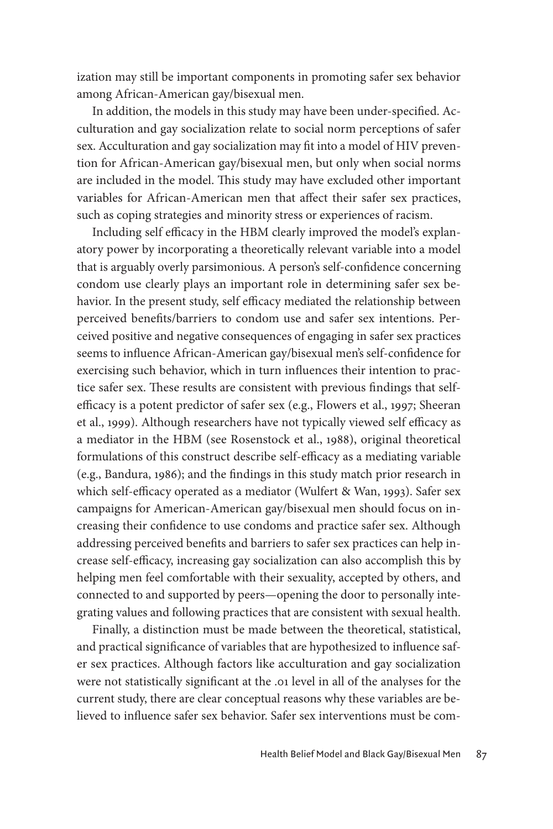ization may still be important components in promoting safer sex behavior among African- American gay/bisexual men.

In addition, the models in this study may have been under-specified. Acculturation and gay socialization relate to social norm perceptions of safer sex. Acculturation and gay socialization may fit into a model of HIV prevention for African- American gay/bisexual men, but only when social norms are included in the model. This study may have excluded other important variables for African-American men that affect their safer sex practices, such as coping strategies and minority stress or experiences of racism.

Including self efficacy in the HBM clearly improved the model's explanatory power by incorporating a theoretically relevant variable into a model that is arguably overly parsimonious. A person's self-confidence concerning condom use clearly plays an important role in determining safer sex behavior. In the present study, self efficacy mediated the relationship between perceived benefits/barriers to condom use and safer sex intentions. Perceived positive and negative consequences of engaging in safer sex practices seems to influence African-American gay/bisexual men's self-confidence for exercising such behavior, which in turn influences their intention to practice safer sex. These results are consistent with previous findings that selfefficacy is a potent predictor of safer sex (e.g., Flowers et al., 1997; Sheeran et al., 1999). Although researchers have not typically viewed self efficacy as a mediator in the HBM (see Rosenstock et al., 1988), original theoretical formulations of this construct describe self-efficacy as a mediating variable (e.g., Bandura, 1986); and the findings in this study match prior research in which self-efficacy operated as a mediator (Wulfert & Wan, 1993). Safer sex campaigns for American- American gay/bisexual men should focus on increasing their confidence to use condoms and practice safer sex. Although addressing perceived benefits and barriers to safer sex practices can help increase self-efficacy, increasing gay socialization can also accomplish this by helping men feel comfortable with their sexuality, accepted by others, and connected to and supported by peers— opening the door to personally integrating values and following practices that are consistent with sexual health.

Finally, a distinction must be made between the theoretical, statistical, and practical significance of variables that are hypothesized to influence safer sex practices. Although factors like acculturation and gay socialization were not statistically significant at the .01 level in all of the analyses for the current study, there are clear conceptual reasons why these variables are believed to influence safer sex behavior. Safer sex interventions must be com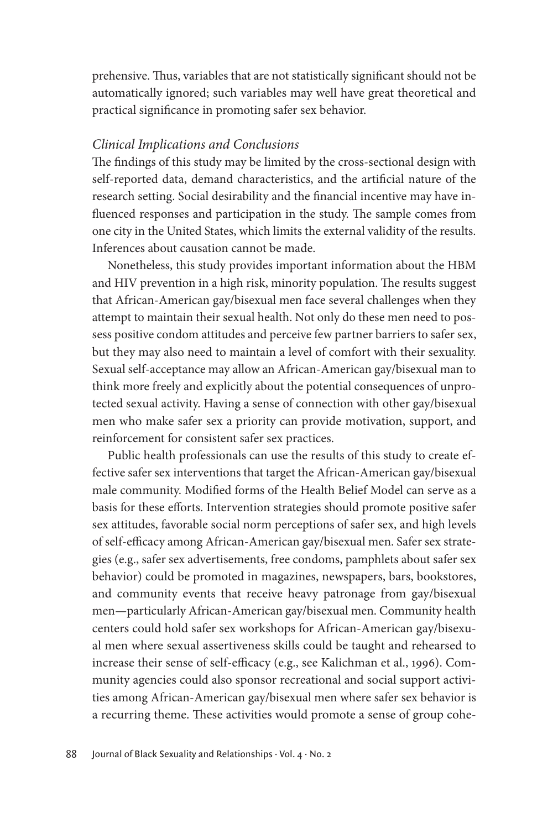prehensive. Thus, variables that are not statistically significant should not be automatically ignored; such variables may well have great theoretical and practical significance in promoting safer sex behavior.

#### *Clinical Implications and Conclusions*

The findings of this study may be limited by the cross-sectional design with self-reported data, demand characteristics, and the artificial nature of the research setting. Social desirability and the financial incentive may have influenced responses and participation in the study. The sample comes from one city in the United States, which limits the external validity of the results. Inferences about causation cannot be made.

Nonetheless, this study provides important information about the HBM and HIV prevention in a high risk, minority population. The results suggest that African- American gay/bisexual men face several challenges when they attempt to maintain their sexual health. Not only do these men need to possess positive condom attitudes and perceive few partner barriers to safer sex, but they may also need to maintain a level of comfort with their sexuality. Sexual self- acceptance may allow an African- American gay/bisexual man to think more freely and explicitly about the potential consequences of unprotected sexual activity. Having a sense of connection with other gay/bisexual men who make safer sex a priority can provide motivation, support, and reinforcement for consistent safer sex practices.

Public health professionals can use the results of this study to create effective safer sex interventions that target the African- American gay/bisexual male community. Modified forms of the Health Belief Model can serve as a basis for these efforts. Intervention strategies should promote positive safer sex attitudes, favorable social norm perceptions of safer sex, and high levels of self-efficacy among African-American gay/bisexual men. Safer sex strategies (e.g., safer sex advertisements, free condoms, pamphlets about safer sex behavior) could be promoted in magazines, newspapers, bars, bookstores, and community events that receive heavy patronage from gay/bisexual men— particularly African- American gay/bisexual men. Community health centers could hold safer sex workshops for African- American gay/bisexual men where sexual assertiveness skills could be taught and rehearsed to increase their sense of self-efficacy (e.g., see Kalichman et al., 1996). Community agencies could also sponsor recreational and social support activities among African- American gay/bisexual men where safer sex behavior is a recurring theme. These activities would promote a sense of group cohe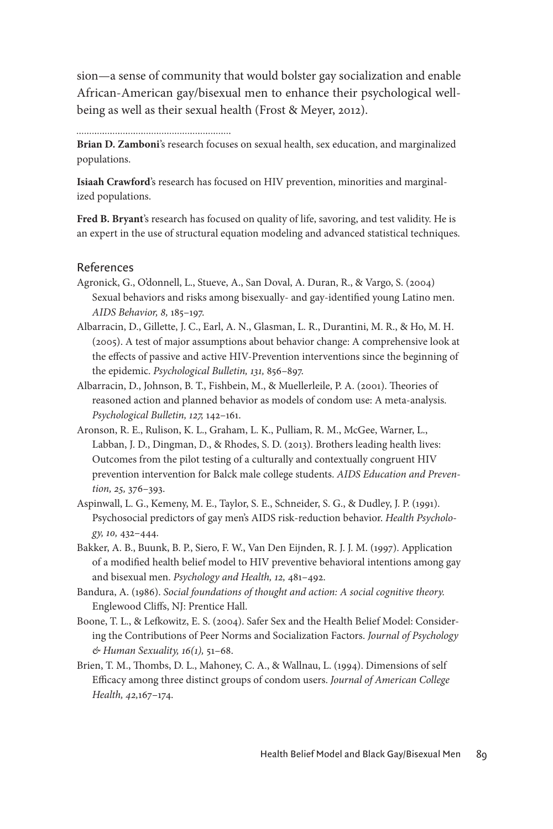sion— a sense of community that would bolster gay socialization and enable African- American gay/bisexual men to enhance their psychological wellbeing as well as their sexual health (Frost & Meyer, 2012).

**Brian D. Zamboni**'s research focuses on sexual health, sex education, and marginalized populations.

**Isiaah Crawford**'s research has focused on HIV prevention, minorities and marginalized populations.

**Fred B. Bryant**'s research has focused on quality of life, savoring, and test validity. He is an expert in the use of structural equation modeling and advanced statistical techniques.

#### References

- Agronick, G., O'donnell, L., Stueve, A., San Doval, A. Duran, R., & Vargo, S. (2004) Sexual behaviors and risks among bisexually- and gay-identified young Latino men. *AIDS Behavior,* 8*,* 185– 197.
- Albarracin, D., Gillette, J. C., Earl, A. N., Glasman, L. R., Durantini, M. R., & Ho, M. H. (2005). A test of major assumptions about behavior change: A comprehensive look at the effects of passive and active HIV-Prevention interventions since the beginning of the epidemic. *Psychological Bulletin*, 131, 856-897.
- Albarracin, D., Johnson, B. T., Fishbein, M., & Muellerleile, P. A. (2001). Theories of reasoned action and planned behavior as models of condom use: A meta-analysis. *Psychological Bulletin,* 127*,* 142– 161.
- Aronson, R. E., Rulison, K. L., Graham, L. K., Pulliam, R. M., McGee, Warner, L., Labban, J. D., Dingman, D., & Rhodes, S. D. (2013). Brothers leading health lives: Outcomes from the pilot testing of a culturally and contextually congruent HIV prevention intervention for Balck male college students. *AIDS Education and Prevention,* 25*,* 376– 393.
- Aspinwall, L. G., Kemeny, M. E., Taylor, S. E., Schneider, S. G., & Dudley, J. P. (1991). Psychosocial predictors of gay men's AIDS risk- reduction behavior. *Health Psychology,* 10*,* 432– 444.
- Bakker, A. B., Buunk, B. P., Siero, F. W., Van Den Eijnden, R. J. J. M. (1997). Application of a modified health belief model to HIV preventive behavioral intentions among gay and bisexual men. *Psychology and Health*, 12, 481-492.
- Bandura, A. (1986). *Social foundations of thought and action: A social cognitive theory.* Englewood Cliffs, NJ: Prentice Hall.
- Boone, T. L., & Lefkowitz, E. S. (2004). Safer Sex and the Health Belief Model: Considering the Contributions of Peer Norms and Socialization Factors. *Journal of Psychology & Human Sexuality,* 16*(*1*),* 51– 68.
- Brien, T. M., Thombs, D. L., Mahoney, C. A., & Wallnau, L. (1994). Dimensions of self Efficacy among three distinct groups of condom users. *Journal of American College Health,* 42*,*167– 174.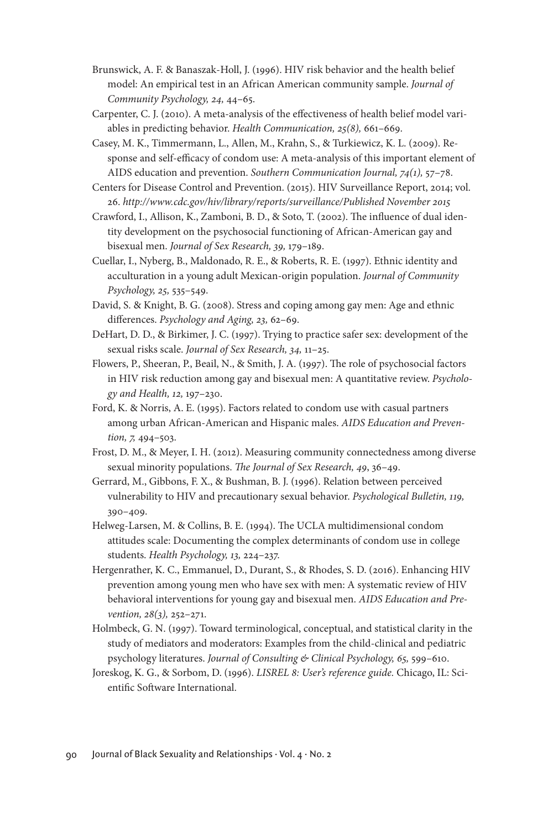- Brunswick, A. F. & Banaszak- Holl, J. (1996). HIV risk behavior and the health belief model: An empirical test in an African American community sample. *Journal of Community Psychology, 24, 44-65.*
- Carpenter, C. J. (2010). A meta-analysis of the effectiveness of health belief model variables in predicting behavior. *Health Communication,* 25*(*8*),* 661– 669.
- Casey, M. K., Timmermann, L., Allen, M., Krahn, S., & Turkiewicz, K. L. (2009). Response and self-efficacy of condom use: A meta-analysis of this important element of AIDS education and prevention. *Southern Communication Journal*,  $74(1)$ , 57-78.
- Centers for Disease Control and Prevention. (2015). HIV Surveillance Report, 2014; vol. 26. *http://www.cdc.gov/hiv/library/reports/surveillance/Published November* 2015
- Crawford, I., Allison, K., Zamboni, B. D., & Soto, T. (2002). The influence of dual identity development on the psychosocial functioning of African- American gay and bisexual men. *Journal of Sex Research,* 39*,* 179– 189.
- Cuellar, I., Nyberg, B., Maldonado, R. E., & Roberts, R. E. (1997). Ethnic identity and acculturation in a young adult Mexican- origin population. *Journal of Community Psychology,* 25*,* 535– 549.
- David, S. & Knight, B. G. (2008). Stress and coping among gay men: Age and ethnic differences. Psychology and Aging, 23, 62-69.
- DeHart, D. D., & Birkimer, J. C. (1997). Trying to practice safer sex: development of the sexual risks scale. *Journal of Sex Research*, 34, 11-25.
- Flowers, P., Sheeran, P., Beail, N., & Smith, J. A. (1997). The role of psychosocial factors in HIV risk reduction among gay and bisexual men: A quantitative review. *Psychology and Health,* 12*,* 197– 230.
- Ford, K. & Norris, A. E. (1995). Factors related to condom use with casual partners among urban African- American and Hispanic males. *AIDS Education and Prevention,* 7*,* 494– 503.
- Frost, D. M., & Meyer, I. H. (2012). Measuring community connectedness among diverse sexual minority populations. The Journal of Sex Research, 49, 36-49.
- Gerrard, M., Gibbons, F. X., & Bushman, B. J. (1996). Relation between perceived vulnerability to HIV and precautionary sexual behavior. *Psychological Bulletin,* 119*,*  $390 - 409.$
- Helweg-Larsen, M. & Collins, B. E. (1994). The UCLA multidimensional condom attitudes scale: Documenting the complex determinants of condom use in college students. *Health Psychology,* 13*,* 224– 237.
- Hergenrather, K. C., Emmanuel, D., Durant, S., & Rhodes, S. D. (2016). Enhancing HIV prevention among young men who have sex with men: A systematic review of HIV behavioral interventions for young gay and bisexual men. *AIDS Education and Prevention,* 28*(*3*),* 252– 271.
- Holmbeck, G. N. (1997). Toward terminological, conceptual, and statistical clarity in the study of mediators and moderators: Examples from the child- clinical and pediatric psychology literatures. *Journal of Consulting & Clinical Psychology,* 65*,* 599– 610.
- Joreskog, K. G., & Sorbom, D. (1996). *LISREL* 8*: User's reference guide.* Chicago, IL: Scientific Software International.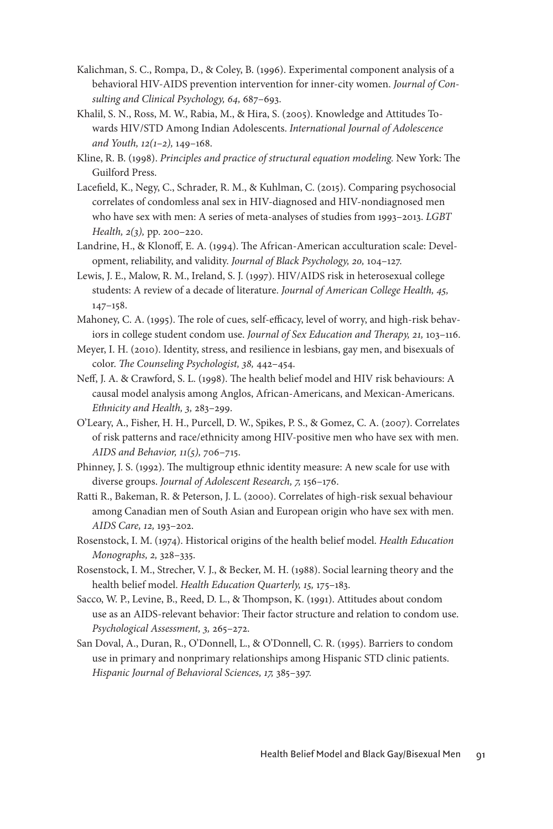- Kalichman, S. C., Rompa, D., & Coley, B. (1996). Experimental component analysis of a behavioral HIV- AIDS prevention intervention for inner- city women. *Journal of Con*sulting and Clinical Psychology, 64, 687-693.
- Khalil, S. N., Ross, M. W., Rabia, M., & Hira, S. (2005). Knowledge and Attitudes Towards HIV/STD Among Indian Adolescents. *International Journal of Adolescence and Youth,* 12*(*1*–* 2*),* 149– 168.
- Kline, R. B. (1998). *Principles and practice of structural equation modeling*. New York: The Guilford Press.
- Lacefield, K., Negy, C., Schrader, R. M., & Kuhlman, C. (2015). Comparing psychosocial correlates of condomless anal sex in HIV- diagnosed and HIV- nondiagnosed men who have sex with men: A series of meta- analyses of studies from 1993– 2013. *LGBT Health, 2(3), pp. 200-220.*
- Landrine, H., & Klonoff, E. A. (1994). The African-American acculturation scale: Development, reliability, and validity. *Journal of Black Psychology*, 20, 104-127.
- Lewis, J. E., Malow, R. M., Ireland, S. J. (1997). HIV/AIDS risk in heterosexual college students: A review of a decade of literature. *Journal of American College Health,* 45*,*  $147 - 158$ .
- Mahoney, C. A. (1995). The role of cues, self-efficacy, level of worry, and high-risk behaviors in college student condom use. *Journal of Sex Education and Therapy*, 21, 103-116.
- Meyer, I. H. (2010). Identity, stress, and resilience in lesbians, gay men, and bisexuals of color. The Counseling Psychologist, 38, 442-454.
- Neff, J. A. & Crawford, S. L. (1998). The health belief model and HIV risk behaviours: A causal model analysis among Anglos, African- Americans, and Mexican- Americans. *Ethnicity and Health,* 3*,* 283– 299.
- O'Leary, A., Fisher, H. H., Purcell, D. W., Spikes, P. S., & Gomez, C. A. (2007). Correlates of risk patterns and race/ethnicity among HIV- positive men who have sex with men. *AIDS and Behavior,* 11*(*5*),* 706– 715.
- Phinney, J. S. (1992). The multigroup ethnic identity measure: A new scale for use with diverse groups. *Journal of Adolescent Research*,  $7, 156 - 176$ .
- Ratti R., Bakeman, R. & Peterson, J. L. (2000). Correlates of high- risk sexual behaviour among Canadian men of South Asian and European origin who have sex with men. *AIDS Care,* 12*,* 193– 202.
- Rosenstock, I. M. (1974). Historical origins of the health belief model. *Health Education Monographs,* 2*,* 328– 335.
- Rosenstock, I. M., Strecher, V. J., & Becker, M. H. (1988). Social learning theory and the health belief model. *Health Education Quarterly,* 15*,* 175– 183.
- Sacco, W. P., Levine, B., Reed, D. L., & Thompson, K. (1991). Attitudes about condom use as an AIDS-relevant behavior: Their factor structure and relation to condom use. *Psychological Assessment,* 3*,* 265– 272.
- San Doval, A., Duran, R., O'Donnell, L., & O'Donnell, C. R. (1995). Barriers to condom use in primary and nonprimary relationships among Hispanic STD clinic patients. *Hispanic Journal of Behavioral Sciences, 17, 385-397.*